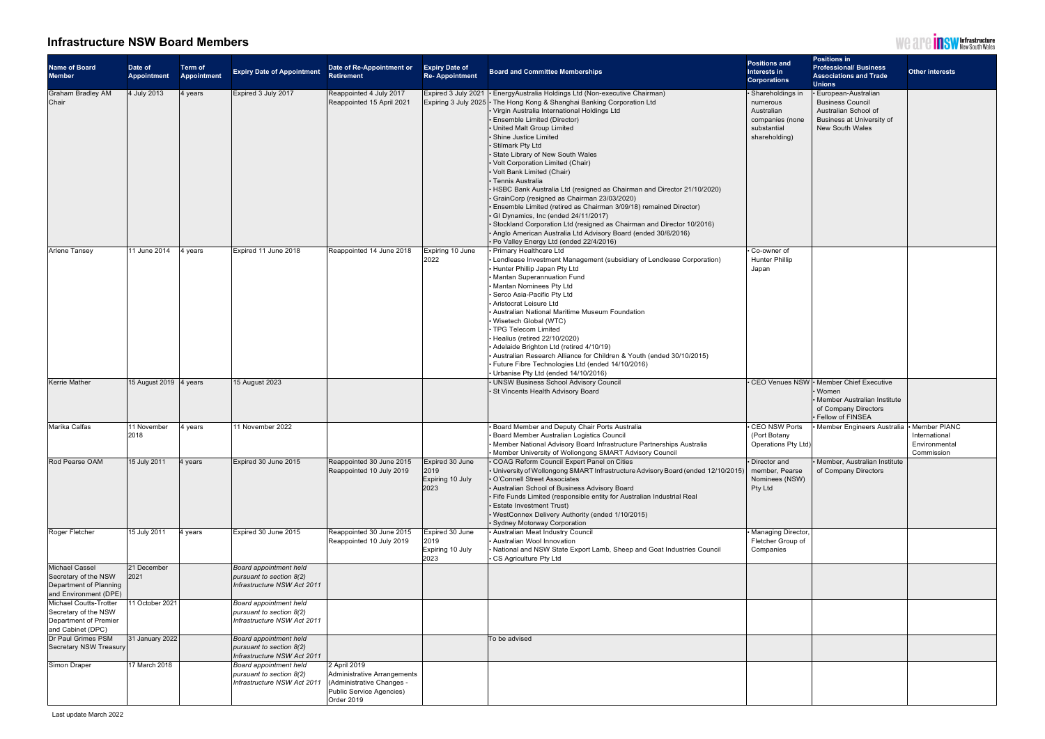

## **Infrastructure NSW Board Members**

| <b>Name of Board</b><br><b>Member</b>                                                            | Date of<br><b>Appointment</b>  | <b>Term of</b><br><b>Appointment</b> | <b>Expiry Date of Appointment</b>                                                 | Date of Re-Appointment or<br><b>Retirement</b>                                                                     | <b>Expiry Date of</b><br><b>Re-Appointment</b>      | <b>Board and Committee Memberships</b>                                                                                                                                                                                                                                                                                                                                                                                                                                                                                                                                                                                                                                                                                                                                                                                                                                                                 | <b>Positions and</b><br>Interests in<br><b>Corporations</b>                                     | <b>Positions in</b><br><b>Professional/ Business</b><br><b>Associations and Trade</b><br><b>Unions</b>                                      | <b>Other interests</b>                                         |
|--------------------------------------------------------------------------------------------------|--------------------------------|--------------------------------------|-----------------------------------------------------------------------------------|--------------------------------------------------------------------------------------------------------------------|-----------------------------------------------------|--------------------------------------------------------------------------------------------------------------------------------------------------------------------------------------------------------------------------------------------------------------------------------------------------------------------------------------------------------------------------------------------------------------------------------------------------------------------------------------------------------------------------------------------------------------------------------------------------------------------------------------------------------------------------------------------------------------------------------------------------------------------------------------------------------------------------------------------------------------------------------------------------------|-------------------------------------------------------------------------------------------------|---------------------------------------------------------------------------------------------------------------------------------------------|----------------------------------------------------------------|
| <b>Graham Bradley AM</b><br>Chair                                                                | 4 July 2013                    | 4 years                              | Expired 3 July 2017                                                               | Reappointed 4 July 2017<br>Reappointed 15 April 2021                                                               |                                                     | Expired 3 July 2021   EnergyAustralia Holdings Ltd (Non-executive Chairman)<br>Expiring 3 July 2025 • The Hong Kong & Shanghai Banking Corporation Ltd<br>• Virgin Australia International Holdings Ltd<br>• Ensemble Limited (Director)<br>• United Malt Group Limited<br>Shine Justice Limited<br>· Stilmark Pty Ltd<br>State Library of New South Wales<br>• Volt Corporation Limited (Chair)<br>• Volt Bank Limited (Chair)<br>• Tennis Australia<br>• HSBC Bank Australia Ltd (resigned as Chairman and Director 21/10/2020)<br>• GrainCorp (resigned as Chairman 23/03/2020)<br>$\cdot$ Ensemble Limited (retired as Chairman 3/09/18) remained Director)<br>$\cdot$ GI Dynamics, Inc (ended 24/11/2017)<br>Stockland Corporation Ltd (resigned as Chairman and Director 10/2016)<br>• Anglo American Australia Ltd Advisory Board (ended 30/6/2016)<br>• Po Valley Energy Ltd (ended 22/4/2016) | · Shareholdings in<br>numerous<br>Australian<br>companies (none<br>substantial<br>shareholding) | <b>European-Australian</b><br><b>Business Council</b><br>Australian School of<br><b>Business at University of</b><br><b>New South Wales</b> |                                                                |
| Arlene Tansey                                                                                    | 11 June 2014                   | 4 years                              | Expired 11 June 2018                                                              | Reappointed 14 June 2018                                                                                           | Expiring 10 June<br>2022                            | • Primary Healthcare Ltd<br>• Lendlease Investment Management (subsidiary of Lendlease Corporation)<br>Hunter Phillip Japan Pty Ltd<br>• Mantan Superannuation Fund<br>• Mantan Nominees Pty Ltd<br>Serco Asia-Pacific Pty Ltd<br>- Aristocrat Leisure Ltd<br>- Australian National Maritime Museum Foundation<br>• Wisetech Global (WTC)<br>• TPG Telecom Limited<br>$\cdot$ Healius (retired 22/10/2020)<br>• Adelaide Brighton Ltd (retired 4/10/19)<br>• Australian Research Alliance for Children & Youth (ended 30/10/2015)<br>$\cdot$ Future Fibre Technologies Ltd (ended 14/10/2016)<br>$\cdot$ Urbanise Pty Ltd (ended 14/10/2016)                                                                                                                                                                                                                                                           | • Co-owner of<br><b>Hunter Phillip</b><br>Japan                                                 |                                                                                                                                             |                                                                |
| <b>Kerrie Mather</b>                                                                             | 15 August 2019 $\vert$ 4 years |                                      | 15 August 2023                                                                    |                                                                                                                    |                                                     | • UNSW Business School Advisory Council<br>. St Vincents Health Advisory Board                                                                                                                                                                                                                                                                                                                                                                                                                                                                                                                                                                                                                                                                                                                                                                                                                         |                                                                                                 | • CEO Venues NSW • Member Chief Executive<br>• Women<br>• Member Australian Institute<br>of Company Directors<br>Fellow of FINSEA           |                                                                |
| Marika Calfas                                                                                    | 11 November<br>2018            | 4 years                              | 11 November 2022                                                                  |                                                                                                                    |                                                     | • Board Member and Deputy Chair Ports Australia<br>• Board Member Australian Logistics Council<br>• Member National Advisory Board Infrastructure Partnerships Australia<br>• Member University of Wollongong SMART Advisory Council                                                                                                                                                                                                                                                                                                                                                                                                                                                                                                                                                                                                                                                                   | · CEO NSW Ports<br>(Port Botany<br>Operations Pty Ltd)                                          | <b>Member Engineers Australia</b>                                                                                                           | • Member PIANC<br>International<br>Environmental<br>Commission |
| Rod Pearse OAM                                                                                   | 15 July 2011                   | 4 years                              | Expired 30 June 2015                                                              | Reappointed 30 June 2015<br>Reappointed 10 July 2019                                                               | Expired 30 June<br>2019<br>Expiring 10 July<br>2023 | • COAG Reform Council Expert Panel on Cities<br>University of Wollongong SMART Infrastructure Advisory Board (ended 12/10/2015)<br>• O'Connell Street Associates<br>• Australian School of Business Advisory Board<br>Fife Funds Limited (responsible entity for Australian Industrial Real<br>Estate Investment Trust)<br>• WestConnex Delivery Authority (ended 1/10/2015)<br>• Sydney Motorway Corporation                                                                                                                                                                                                                                                                                                                                                                                                                                                                                          | • Director and<br>member, Pearse<br>Nominees (NSW)<br><b>Pty Ltd</b>                            | • Member, Australian Institute<br>of Company Directors                                                                                      |                                                                |
| Roger Fletcher                                                                                   | 15 July 2011                   | 4 years                              | Expired 30 June 2015                                                              | Reappointed 30 June 2015<br>Reappointed 10 July 2019                                                               | Expired 30 June<br>2019<br>Expiring 10 July<br>2023 | • Australian Meat Industry Council<br>- Australian Wool Innovation<br>• National and NSW State Export Lamb, Sheep and Goat Industries Council<br>• CS Agriculture Pty Ltd                                                                                                                                                                                                                                                                                                                                                                                                                                                                                                                                                                                                                                                                                                                              | · Managing Director,<br>Fletcher Group of<br>Companies                                          |                                                                                                                                             |                                                                |
| <b>Michael Cassel</b><br>Secretary of the NSW<br>Department of Planning<br>and Environment (DPE) | 21 December<br>2021            |                                      | Board appointment held<br>pursuant to section 8(2)<br>Infrastructure NSW Act 2011 |                                                                                                                    |                                                     |                                                                                                                                                                                                                                                                                                                                                                                                                                                                                                                                                                                                                                                                                                                                                                                                                                                                                                        |                                                                                                 |                                                                                                                                             |                                                                |
| Michael Coutts-Trotter<br>Secretary of the NSW<br>Department of Premier<br>and Cabinet (DPC)     | 1 October 2021                 |                                      | Board appointment held<br>pursuant to section 8(2)<br>Infrastructure NSW Act 2011 |                                                                                                                    |                                                     |                                                                                                                                                                                                                                                                                                                                                                                                                                                                                                                                                                                                                                                                                                                                                                                                                                                                                                        |                                                                                                 |                                                                                                                                             |                                                                |
| Dr Paul Grimes PSM<br>Secretary NSW Treasury                                                     | 31 January 2022                |                                      | Board appointment held<br>pursuant to section 8(2)<br>Infrastructure NSW Act 2011 |                                                                                                                    |                                                     | To be advised                                                                                                                                                                                                                                                                                                                                                                                                                                                                                                                                                                                                                                                                                                                                                                                                                                                                                          |                                                                                                 |                                                                                                                                             |                                                                |
| Simon Draper                                                                                     | 17 March 2018                  |                                      | Board appointment held<br>pursuant to section 8(2)<br>Infrastructure NSW Act 2011 | 2 April 2019<br>Administrative Arrangements<br>(Administrative Changes -<br>Public Service Agencies)<br>Order 2019 |                                                     |                                                                                                                                                                                                                                                                                                                                                                                                                                                                                                                                                                                                                                                                                                                                                                                                                                                                                                        |                                                                                                 |                                                                                                                                             |                                                                |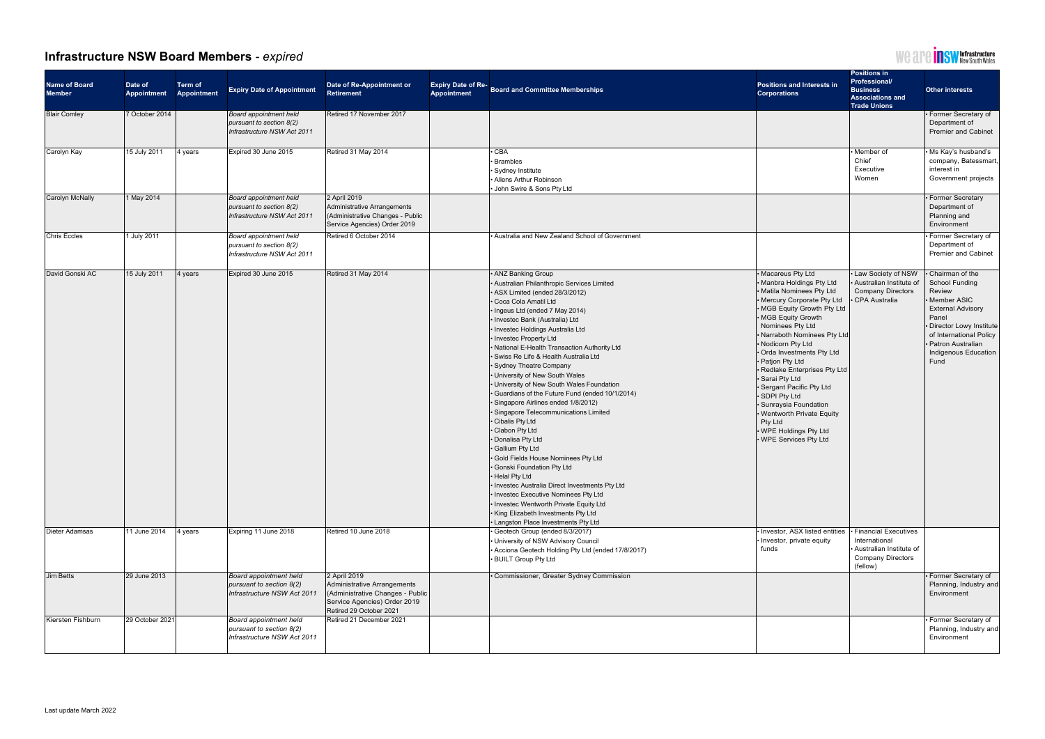

## **Infrastructure NSW Board Members** *- expired*

| <b>Name of Board</b><br><b>Member</b> | Date of<br>Appointment | <b>Term of</b><br>Appointment | <b>Expiry Date of Appointment</b>                                                               | Date of Re-Appointment or<br><b>Retirement</b>                                                                                             | Expiry Date of Re-<br>Board and Committee Memberships<br><b>Appointment</b>                                                                                                                                                                                                                                                                                                                                                                                                                                                                                                                                                                                                                                                                                                                                                                                                                                                                                                                                              | <b>Positions and Interests in</b><br><b>Corporations</b>                                                                                                                                                                                                                                                                                                                                                                                                                                                                | <b>Positions in</b><br><b>Professional/</b><br><b>Business</b><br><b>Associations and</b><br><b>Trade Unions</b> | Other interests                                                                                                                                                                                                         |
|---------------------------------------|------------------------|-------------------------------|-------------------------------------------------------------------------------------------------|--------------------------------------------------------------------------------------------------------------------------------------------|--------------------------------------------------------------------------------------------------------------------------------------------------------------------------------------------------------------------------------------------------------------------------------------------------------------------------------------------------------------------------------------------------------------------------------------------------------------------------------------------------------------------------------------------------------------------------------------------------------------------------------------------------------------------------------------------------------------------------------------------------------------------------------------------------------------------------------------------------------------------------------------------------------------------------------------------------------------------------------------------------------------------------|-------------------------------------------------------------------------------------------------------------------------------------------------------------------------------------------------------------------------------------------------------------------------------------------------------------------------------------------------------------------------------------------------------------------------------------------------------------------------------------------------------------------------|------------------------------------------------------------------------------------------------------------------|-------------------------------------------------------------------------------------------------------------------------------------------------------------------------------------------------------------------------|
| <b>Blair Comley</b>                   | 7 October 2014         |                               | <b>Board appointment held</b><br><i>pursuant to section 8(2)</i><br>Infrastructure NSW Act 2011 | Retired 17 November 2017                                                                                                                   |                                                                                                                                                                                                                                                                                                                                                                                                                                                                                                                                                                                                                                                                                                                                                                                                                                                                                                                                                                                                                          |                                                                                                                                                                                                                                                                                                                                                                                                                                                                                                                         |                                                                                                                  | • Former Secretary of<br>Department of<br><b>Premier and Cabinet</b>                                                                                                                                                    |
| <b>Carolyn Kay</b>                    | 15 July 2011           | 4 years                       | Expired 30 June 2015                                                                            | Retired 31 May 2014                                                                                                                        | $\overline{\cdot$ CBA<br>• Brambles<br>• Sydney Institute<br>• Allens Arthur Robinson<br>• John Swire & Sons Pty Ltd                                                                                                                                                                                                                                                                                                                                                                                                                                                                                                                                                                                                                                                                                                                                                                                                                                                                                                     |                                                                                                                                                                                                                                                                                                                                                                                                                                                                                                                         | $\cdot$ Member of<br>Chief<br>Executive<br>Women                                                                 | • Ms Kay's husband's<br>company, Batessmart,<br>interest in<br>Government projects                                                                                                                                      |
| Carolyn McNally                       | 1 May 2014             |                               | <b>Board appointment held</b><br>pursuant to section $8(2)$<br>Infrastructure NSW Act 2011      | 2 April 2019<br>Administrative Arrangements<br>(Administrative Changes - Public<br>Service Agencies) Order 2019                            |                                                                                                                                                                                                                                                                                                                                                                                                                                                                                                                                                                                                                                                                                                                                                                                                                                                                                                                                                                                                                          |                                                                                                                                                                                                                                                                                                                                                                                                                                                                                                                         |                                                                                                                  | • Former Secretary<br>Department of<br>Planning and<br>Environment                                                                                                                                                      |
| <b>Chris Eccles</b>                   | 1 July 2011            |                               | <b>Board appointment held</b><br>pursuant to section $8(2)$<br>Infrastructure NSW Act 2011      | Retired 6 October 2014                                                                                                                     | • Australia and New Zealand School of Government                                                                                                                                                                                                                                                                                                                                                                                                                                                                                                                                                                                                                                                                                                                                                                                                                                                                                                                                                                         |                                                                                                                                                                                                                                                                                                                                                                                                                                                                                                                         |                                                                                                                  | Former Secretary of<br>Department of<br><b>Premier and Cabinet</b>                                                                                                                                                      |
| David Gonski AC                       | 15 July 2011           | 4 years                       | Expired 30 June 2015                                                                            | Retired 31 May 2014                                                                                                                        | • ANZ Banking Group<br>· Australian Philanthropic Services Limited<br>• ASX Limited (ended 28/3/2012)<br>· Coca Cola Amatil Ltd<br>• Ingeus Ltd (ended 7 May 2014)<br>· Investec Bank (Australia) Ltd<br>· Investec Holdings Australia Ltd<br>• Investec Property Ltd<br>• National E-Health Transaction Authority Ltd<br>· Swiss Re Life & Health Australia Ltd<br>• Sydney Theatre Company<br>• University of New South Wales<br>• University of New South Wales Foundation<br>• Guardians of the Future Fund (ended 10/1/2014)<br>· Singapore Airlines ended 1/8/2012)<br>· Singapore Telecommunications Limited<br>• Cibalis Pty Ltd<br>• Clabon Pty Ltd<br>• Donalisa Pty Ltd<br>· Gallium Pty Ltd<br>• Gold Fields House Nominees Pty Ltd<br>· Gonski Foundation Pty Ltd<br>• Helal Pty Ltd<br>· Investec Australia Direct Investments Pty Ltd<br>• Investec Executive Nominees Pty Ltd<br>• Investec Wentworth Private Equity Ltd<br>• King Elizabeth Investments Pty Ltd<br>• Langston Place Investments Pty Ltd | • Macareus Pty Ltd<br>• Manbra Holdings Pty Ltd<br>• Matila Nominees Pty Ltd<br>• Mercury Corporate Pty Ltd<br>• MGB Equity Growth Pty Ltd<br>· MGB Equity Growth<br>Nominees Pty Ltd<br>• Narraboth Nominees Pty Ltd<br>• Nodicorn Pty Ltd<br>• Orda Investments Pty Ltd<br>• Patjon Pty Ltd<br>· Redlake Enterprises Pty Ltd<br>· Sarai Pty Ltd<br>· Sergant Pacific Pty Ltd<br>· SDPI Pty Ltd<br>· Sunraysia Foundation<br>• Wentworth Private Equity<br>Pty Ltd<br>• WPE Holdings Pty Ltd<br>• WPE Services Pty Ltd | . Law Society of NSW<br>. Australian Institute of<br><b>Company Directors</b><br><b>CPA Australia</b>            | Chairman of the<br><b>School Funding</b><br>Review<br>· Member ASIC<br><b>External Advisory</b><br>Panel<br>• Director Lowy Institute<br>of International Policy<br>· Patron Australian<br>Indigenous Education<br>Fund |
| <b>Dieter Adamsas</b>                 | 11 June 2014           | 4 years                       | Expiring 11 June 2018                                                                           | Retired 10 June 2018                                                                                                                       | · Geotech Group (ended 8/3/2017)<br>• University of NSW Advisory Council<br>• Acciona Geotech Holding Pty Ltd (ended 17/8/2017)<br>• BUILT Group Pty Ltd                                                                                                                                                                                                                                                                                                                                                                                                                                                                                                                                                                                                                                                                                                                                                                                                                                                                 | • Investor, ASX listed entities  • Financial Executives<br>· Investor, private equity<br>funds                                                                                                                                                                                                                                                                                                                                                                                                                          | International<br>• Australian Institute of<br><b>Company Directors</b><br>(fellow)                               |                                                                                                                                                                                                                         |
| <b>Jim Betts</b>                      | 29 June 2013           |                               | <b>Board appointment held</b><br><i>pursuant to section 8(2)</i><br>Infrastructure NSW Act 2011 | 2 April 2019<br>Administrative Arrangements<br>(Administrative Changes - Public<br>Service Agencies) Order 2019<br>Retired 29 October 2021 | • Commissioner, Greater Sydney Commission                                                                                                                                                                                                                                                                                                                                                                                                                                                                                                                                                                                                                                                                                                                                                                                                                                                                                                                                                                                |                                                                                                                                                                                                                                                                                                                                                                                                                                                                                                                         |                                                                                                                  | • Former Secretary of<br>Planning, Industry and<br>Environment                                                                                                                                                          |
| Kiersten Fishburn                     | 29 October 2021        |                               | Board appointment held<br>pursuant to section $8(2)$<br>Infrastructure NSW Act 2011             | Retired 21 December 2021                                                                                                                   |                                                                                                                                                                                                                                                                                                                                                                                                                                                                                                                                                                                                                                                                                                                                                                                                                                                                                                                                                                                                                          |                                                                                                                                                                                                                                                                                                                                                                                                                                                                                                                         |                                                                                                                  | • Former Secretary of<br>Planning, Industry and<br>Environment                                                                                                                                                          |